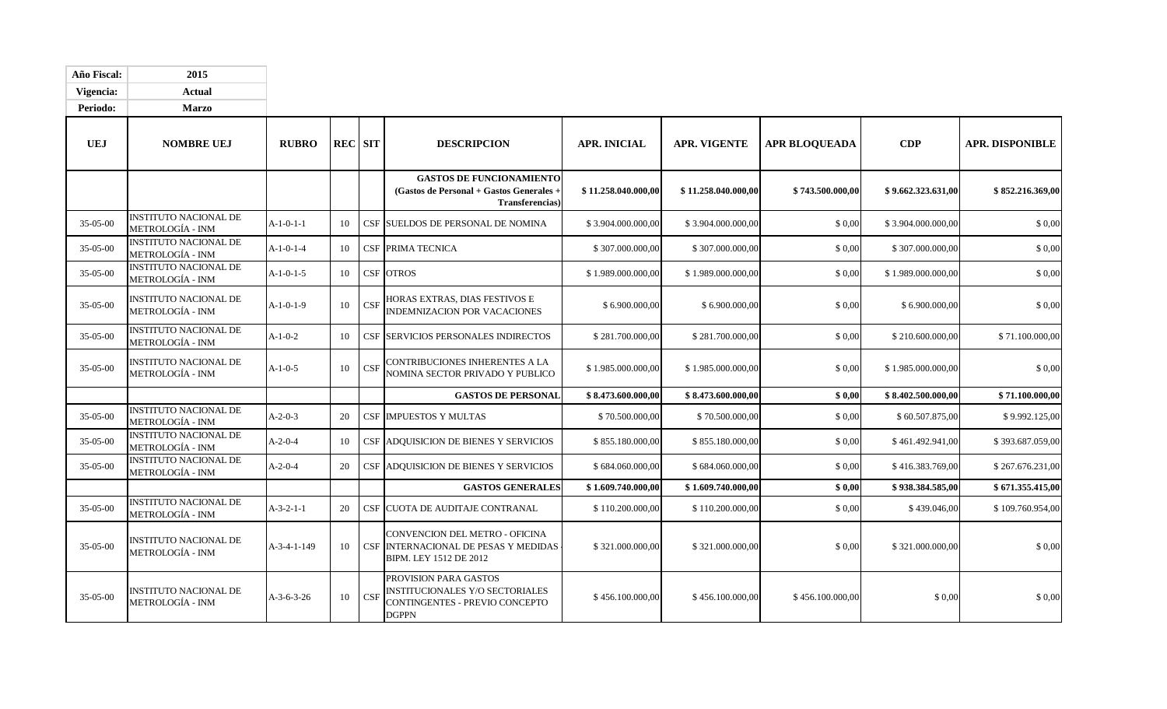| Año Fiscal:    | 2015                                                    |                 |    |                |                                                                                                                   |                     |                     |                      |                    |                        |
|----------------|---------------------------------------------------------|-----------------|----|----------------|-------------------------------------------------------------------------------------------------------------------|---------------------|---------------------|----------------------|--------------------|------------------------|
| Vigencia:      | <b>Actual</b>                                           |                 |    |                |                                                                                                                   |                     |                     |                      |                    |                        |
| Periodo:       | <b>Marzo</b>                                            |                 |    |                |                                                                                                                   |                     |                     |                      |                    |                        |
| <b>UEJ</b>     | <b>NOMBRE UEJ</b>                                       | <b>RUBRO</b>    |    | <b>REC</b> SIT | <b>DESCRIPCION</b>                                                                                                | <b>APR. INICIAL</b> | <b>APR. VIGENTE</b> | <b>APR BLOQUEADA</b> | CDP                | <b>APR. DISPONIBLE</b> |
|                |                                                         |                 |    |                | <b>GASTOS DE FUNCIONAMIENTO</b><br>(Gastos de Personal + Gastos Generales -<br><b>Transferencias</b> )            | \$11.258.040.000,00 | \$11.258.040.000,00 | \$743.500.000,00     | \$9.662.323.631,00 | \$852.216.369,00       |
| 35-05-00       | <b>INSTITUTO NACIONAL DE</b><br><b>METROLOGÍA - INM</b> | $A-1-0-1-1$     | 10 |                | CSF SUELDOS DE PERSONAL DE NOMINA                                                                                 | \$3.904.000.000,00  | \$3.904.000.000,00  | \$0,00               | \$3.904.000.000,00 | \$0,00                 |
| 35-05-00       | <b>INSTITUTO NACIONAL DE</b><br>METROLOGÍA - INM        | $A-1-0-1-4$     | 10 |                | <b>CSF PRIMA TECNICA</b>                                                                                          | \$307.000.000,00    | \$307.000.000,00    | \$0,00               | \$307.000.000,00   | \$0,00                 |
| 35-05-00       | <b>INSTITUTO NACIONAL DE</b><br><b>METROLOGÍA - INM</b> | $A-1-0-1-5$     | 10 |                | CSF OTROS                                                                                                         | \$1.989.000.000,00  | \$1.989.000.000,00  | \$0,00               | \$1.989.000.000,00 | \$0,00                 |
| 35-05-00       | INSTITUTO NACIONAL DE<br>METROLOGÍA - INM               | $A-1-0-1-9$     | 10 | CSF            | HORAS EXTRAS, DIAS FESTIVOS E<br><b>INDEMNIZACION POR VACACIONES</b>                                              | \$6.900.000,00      | \$6.900.000,00      | \$0,00               | \$6.900.000,00     | \$0,00                 |
| 35-05-00       | <b>INSTITUTO NACIONAL DE</b><br>METROLOGÍA - INM        | $A-1-0-2$       | 10 |                | CSF SERVICIOS PERSONALES INDIRECTOS                                                                               | \$281.700.000,00    | \$281.700.000,00    | \$0,00               | \$210.600.000,00   | \$71.100.000,00        |
| 35-05-00       | INSTITUTO NACIONAL DE<br>METROLOGÍA - INM               | $A-1-0-5$       | 10 | CSF            | CONTRIBUCIONES INHERENTES A LA<br>NOMINA SECTOR PRIVADO Y PUBLICO                                                 | \$1.985.000.000,00  | \$1.985.000.000,00  | \$0,00               | \$1.985.000.000,00 | \$0,00                 |
|                |                                                         |                 |    |                | <b>GASTOS DE PERSONAL</b>                                                                                         | \$8.473.600.000,00  | \$8.473.600.000,00  | \$0.00               | \$8.402.500.000,00 | \$71.100.000,00        |
| 35-05-00       | <b>INSTITUTO NACIONAL DE</b><br>METROLOGÍA - INM        | $A-2-0-3$       | 20 |                | <b>CSF IMPUESTOS Y MULTAS</b>                                                                                     | \$70.500.000,00     | \$70.500.000,00     | \$0,00               | \$60.507.875,00    | \$9.992.125,00         |
| 35-05-00       | <b>INSTITUTO NACIONAL DE</b><br>METROLOGÍA - INM        | $A-2-0-4$       | 10 |                | CSF ADQUISICION DE BIENES Y SERVICIOS                                                                             | \$855.180.000,00    | \$855.180.000,00    | \$0,00               | \$461.492.941,00   | \$393.687.059,00       |
| 35-05-00       | <b>INSTITUTO NACIONAL DE</b><br><b>METROLOGÍA - INM</b> | $A - 2 - 0 - 4$ | 20 |                | CSF ADQUISICION DE BIENES Y SERVICIOS                                                                             | \$684.060.000,00    | \$684.060.000,00    | \$0,00               | \$416.383.769,00   | \$267.676.231,00       |
|                |                                                         |                 |    |                | <b>GASTOS GENERALES</b>                                                                                           | \$1.609.740.000,00  | \$1.609.740.000,00  | \$0.00               | \$938.384.585,00   | \$671.355.415,00       |
| 35-05-00       | <b>INSTITUTO NACIONAL DE</b><br><b>METROLOGÍA - INM</b> | $A-3-2-1-1$     | 20 |                | CSF CUOTA DE AUDITAJE CONTRANAL                                                                                   | \$110.200.000,00    | \$110.200.000,00    | \$0,00               | \$439.046,00       | \$109.760.954.00       |
| 35-05-00       | <b>INSTITUTO NACIONAL DE</b><br>METROLOGÍA - INM        | A-3-4-1-149     | 10 |                | CONVENCION DEL METRO - OFICINA<br>CSF INTERNACIONAL DE PESAS Y MEDIDAS<br>BIPM. LEY 1512 DE 2012                  | \$321.000.000,00    | \$321.000.000,00    | \$0,00               | \$321.000.000,00   | \$0,00                 |
| $35 - 05 - 00$ | <b>INSTITUTO NACIONAL DE</b><br>METROLOGÍA - INM        | $A-3-6-3-26$    | 10 | <b>CSF</b>     | PROVISION PARA GASTOS<br><b>INSTITUCIONALES Y/O SECTORIALES</b><br>CONTINGENTES - PREVIO CONCEPTO<br><b>DGPPN</b> | \$456.100.000,00    | \$456.100.000,00    | \$456.100.000,00     | \$ 0,00            | \$0,00                 |

-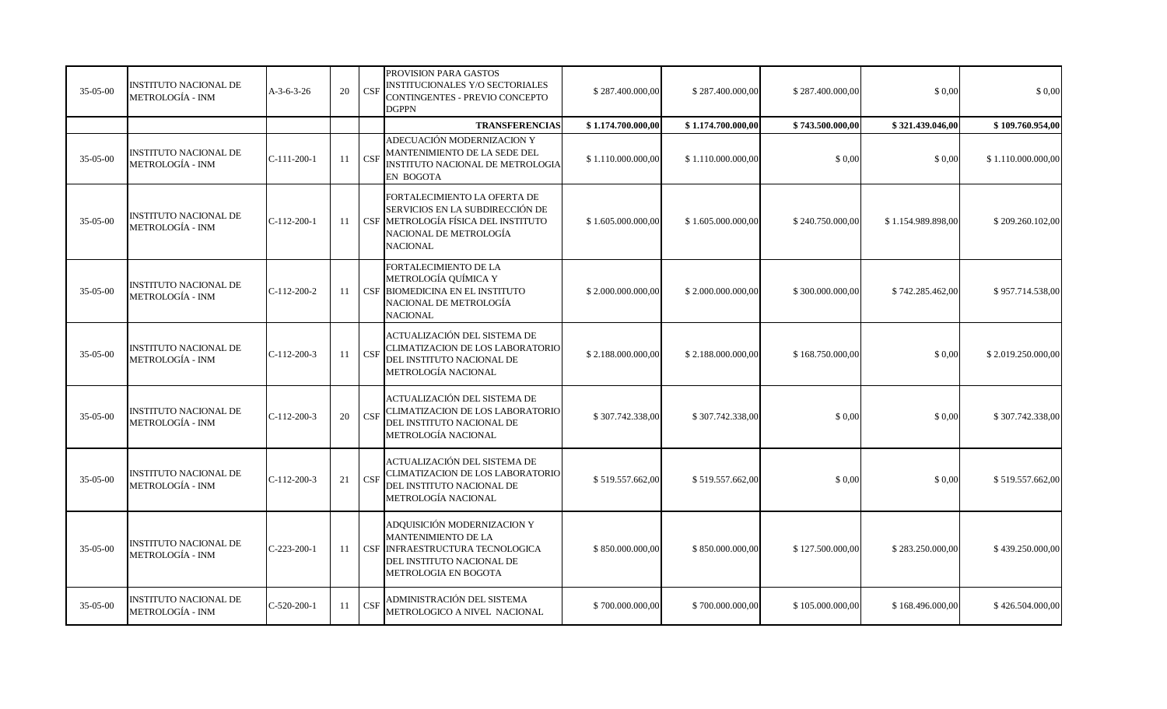| 35-05-00       | <b>INSTITUTO NACIONAL DE</b><br>METROLOGÍA - INM        | $A-3-6-3-26$  | 20 | CSF | PROVISION PARA GASTOS<br><b>INSTITUCIONALES Y/O SECTORIALES</b><br>CONTINGENTES - PREVIO CONCEPTO<br><b>DGPPN</b>                                   | \$287.400.000,00    | \$287.400.000,00   | \$287.400.000,00 | \$0,00             | \$0,00             |
|----------------|---------------------------------------------------------|---------------|----|-----|-----------------------------------------------------------------------------------------------------------------------------------------------------|---------------------|--------------------|------------------|--------------------|--------------------|
|                |                                                         |               |    |     | <b>TRANSFERENCIAS</b>                                                                                                                               | \$1.174.700.000,00  | \$1.174.700.000,00 | \$743.500.000,00 | \$321.439.046,00   | \$109.760.954.00   |
| 35-05-00       | <b>INSTITUTO NACIONAL DE</b><br><b>METROLOGÍA - INM</b> | $C-111-200-1$ | 11 | CSF | ADECUACIÓN MODERNIZACION Y<br>MANTENIMIENTO DE LA SEDE DEL<br>INSTITUTO NACIONAL DE METROLOGIA<br><b>EN BOGOTA</b>                                  | \$1.110.000.000,00  | \$1.110.000.000,00 | \$0,00           | \$0,00             | \$1.110.000.000,00 |
| 35-05-00       | <b>INSTITUTO NACIONAL DE</b><br>METROLOGÍA - INM        | $C-112-200-1$ | 11 |     | FORTALECIMIENTO LA OFERTA DE<br>SERVICIOS EN LA SUBDIRECCIÓN DE<br>CSF METROLOGÍA FÍSICA DEL INSTITUTO<br>NACIONAL DE METROLOGÍA<br><b>NACIONAL</b> | \$1.605.000.000,00  | \$1.605.000.000,00 | \$240.750.000,00 | \$1.154.989.898,00 | \$209.260.102,00   |
| $35-05-00$     | <b>INSTITUTO NACIONAL DE</b><br><b>METROLOGÍA - INM</b> | $C-112-200-2$ | 11 |     | FORTALECIMIENTO DE LA<br>METROLOGÍA QUÍMICA Y<br>CSF BIOMEDICINA EN EL INSTITUTO<br>NACIONAL DE METROLOGÍA<br><b>NACIONAL</b>                       | \$2.000.000.000,00  | \$2.000.000.000,00 | \$300.000.000,00 | \$742.285.462,00   | \$957.714.538,00   |
| 35-05-00       | <b>INSTITUTO NACIONAL DE</b><br>METROLOGÍA - INM        | $C-112-200-3$ | 11 | CSF | ACTUALIZACIÓN DEL SISTEMA DE<br>CLIMATIZACION DE LOS LABORATORIO<br>DEL INSTITUTO NACIONAL DE<br>METROLOGÍA NACIONAL                                | \$2.188.000.000,00] | \$2.188.000.000,00 | \$168.750.000,00 | \$0,00             | \$2.019.250.000,00 |
| 35-05-00       | <b>INSTITUTO NACIONAL DE</b><br>METROLOGÍA - INM        | $C-112-200-3$ | 20 | CSF | ACTUALIZACIÓN DEL SISTEMA DE<br>CLIMATIZACION DE LOS LABORATORIO<br>DEL INSTITUTO NACIONAL DE<br>METROLOGÍA NACIONAL                                | \$307.742.338,00    | \$307.742.338,00   | \$0,00           | \$0,00             | \$307.742.338,00   |
| $35 - 05 - 00$ | <b>INSTITUTO NACIONAL DE</b><br>METROLOGÍA - INM        | $C-112-200-3$ | 21 | CSF | ACTUALIZACIÓN DEL SISTEMA DE<br>CLIMATIZACION DE LOS LABORATORIO<br>DEL INSTITUTO NACIONAL DE<br>METROLOGÍA NACIONAL                                | \$519.557.662,00    | \$519.557.662,00   | \$0,00           | \$0,00             | \$519.557.662,00   |
| 35-05-00       | <b>INSTITUTO NACIONAL DE</b><br><b>METROLOGÍA - INM</b> | $C-223-200-1$ |    |     | ADQUISICIÓN MODERNIZACION Y<br>MANTENIMIENTO DE LA<br>11 CSF INFRAESTRUCTURA TECNOLOGICA<br>DEL INSTITUTO NACIONAL DE<br>METROLOGIA EN BOGOTA       | \$850.000.000,00    | \$850.000.000,00   | \$127.500.000,00 | \$283.250.000,00   | \$439.250.000,00   |
| $35 - 05 - 00$ | <b>INSTITUTO NACIONAL DE</b><br>METROLOGÍA - INM        | $C-520-200-1$ | 11 | CSF | ADMINISTRACIÓN DEL SISTEMA<br>METROLOGICO A NIVEL NACIONAL                                                                                          | \$700.000.000,00    | \$700.000.000,00   | \$105.000.000,00 | \$168.496.000,00   | \$426.504.000,00   |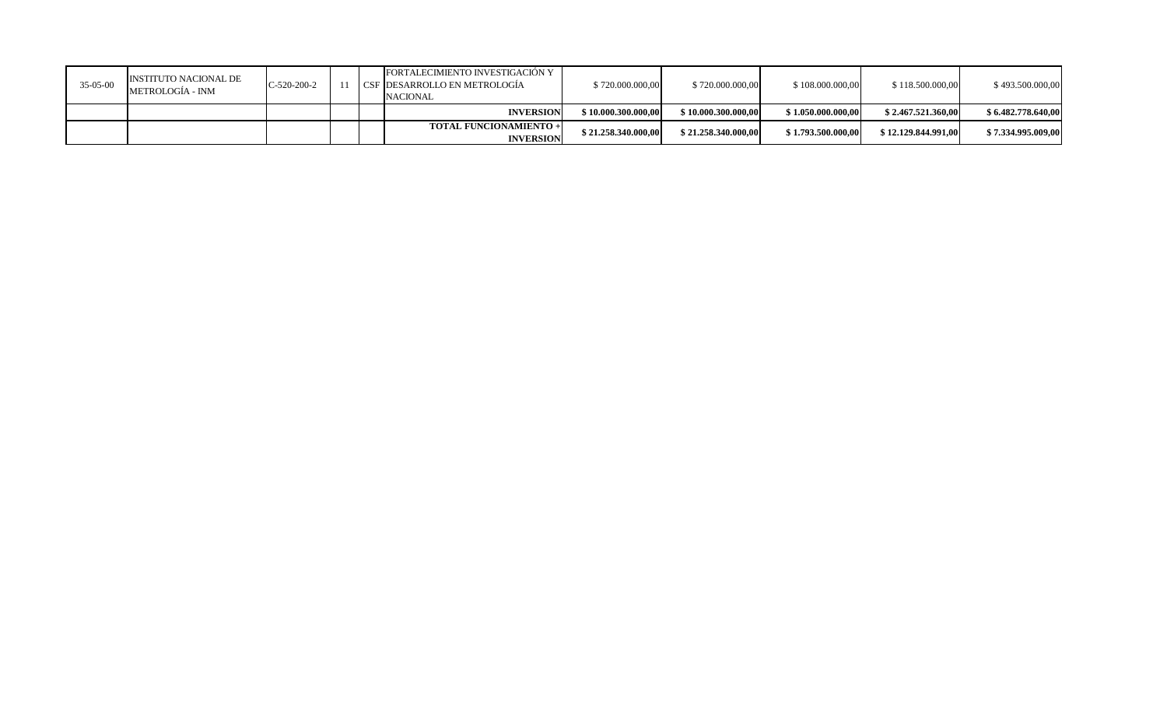| $35-05-00$ | INSTITUTO NACIONAL DE<br>METROLOGÍA - INM | $IC-520-200-2$ |  | FORTALECIMIENTO INVESTIGACIÓN Y<br>I CSF IDESARROLLO EN METROLOGÍA<br><b>NACIONAL</b> | \$720,000,000,00     | \$720,000,000,00    | \$108.000.000,00   | \$118.500.000,00    | \$493.500.000,00   |
|------------|-------------------------------------------|----------------|--|---------------------------------------------------------------------------------------|----------------------|---------------------|--------------------|---------------------|--------------------|
|            |                                           |                |  | <b>INVERSION</b>                                                                      | \$10,000,300,000,00  | \$10.000.300.000.00 | \$1.050.000.000.00 | \$2.467.521.360.00  | \$6.482.778.640,00 |
|            |                                           |                |  | <b>TOTAL FUNCIONAMIENTO +</b><br><b>INVERSION</b>                                     | \$21.258.340.000,00] | \$21.258.340.000.00 | \$1.793.500.000,00 | \$12,129,844,991,00 | \$7.334.995.009,00 |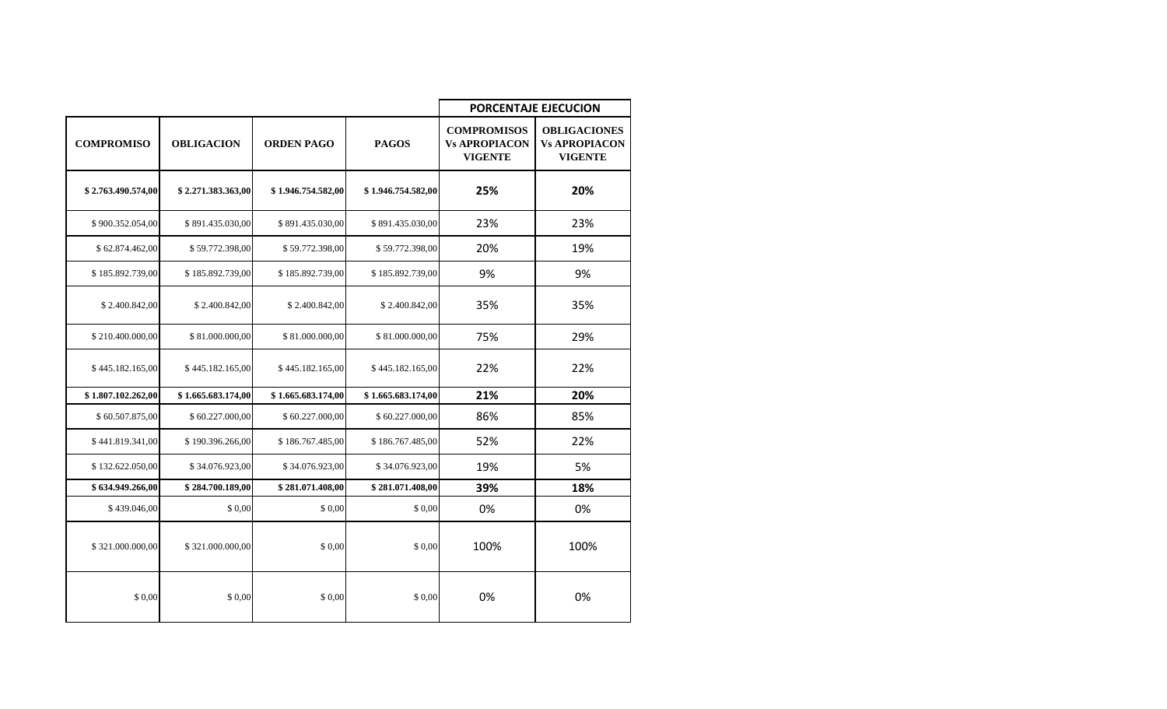|                    |                    |                    |                    | <b>PORCENTAJE EJECUCION</b>                                  |                                                               |  |  |  |
|--------------------|--------------------|--------------------|--------------------|--------------------------------------------------------------|---------------------------------------------------------------|--|--|--|
| <b>COMPROMISO</b>  | <b>OBLIGACION</b>  | <b>ORDEN PAGO</b>  | <b>PAGOS</b>       | <b>COMPROMISOS</b><br><b>Vs APROPIACON</b><br><b>VIGENTE</b> | <b>OBLIGACIONES</b><br><b>Vs APROPIACON</b><br><b>VIGENTE</b> |  |  |  |
| \$2.763.490.574,00 | \$2.271.383.363,00 | \$1.946.754.582,00 | \$1.946.754.582,00 | 25%                                                          | 20%                                                           |  |  |  |
| \$900.352.054,00   | \$891.435.030,00   | \$891.435.030,00   | \$891.435.030,00   | 23%                                                          | 23%                                                           |  |  |  |
| \$62.874.462,00    | \$59.772.398,00    | \$59.772.398,00    | \$59.772.398,00    | 20%                                                          | 19%                                                           |  |  |  |
| \$185.892.739,00   | \$185.892.739,00   | \$185.892.739,00   | \$185.892.739,00   | 9%                                                           | 9%                                                            |  |  |  |
| \$2.400.842,00     | \$2.400.842,00     | \$2.400.842,00     | \$2.400.842,00     | 35%                                                          | 35%                                                           |  |  |  |
| \$210.400.000,00   | \$81.000.000,00    | \$81.000.000,00    | \$81.000.000,00    | 75%                                                          | 29%                                                           |  |  |  |
| \$445.182.165,00   | \$445.182.165,00   | \$445.182.165,00   | \$445.182.165,00   | 22%                                                          | 22%                                                           |  |  |  |
| \$1.807.102.262,00 | \$1.665.683.174,00 | \$1.665.683.174,00 | \$1.665.683.174,00 | 21%                                                          | 20%                                                           |  |  |  |
| \$60.507.875,00    | \$60.227.000,00    | \$60.227.000,00    | \$60.227.000,00    | 86%                                                          | 85%                                                           |  |  |  |
| \$441.819.341,00   | \$190.396.266,00   | \$186.767.485,00   | \$186.767.485,00   | 52%                                                          | 22%                                                           |  |  |  |
| \$132.622.050,00   | \$34.076.923,00    | \$34.076.923,00    | \$34.076.923,00    | 19%                                                          | 5%                                                            |  |  |  |
| \$634.949.266,00   | \$284.700.189.00   | \$281.071.408,00   | \$281.071.408,00   | 39%                                                          | 18%                                                           |  |  |  |
| \$439.046,00       | \$ 0,00            | \$ 0,00            | \$0,00             | 0%                                                           | 0%                                                            |  |  |  |
| \$321.000.000,00   | \$321.000.000.00   | \$0.00             | \$0,00             | 100%                                                         | 100%                                                          |  |  |  |
| \$ 0.00            | \$ 0,00            | \$0,00             | \$ 0.00            | 0%                                                           | 0%                                                            |  |  |  |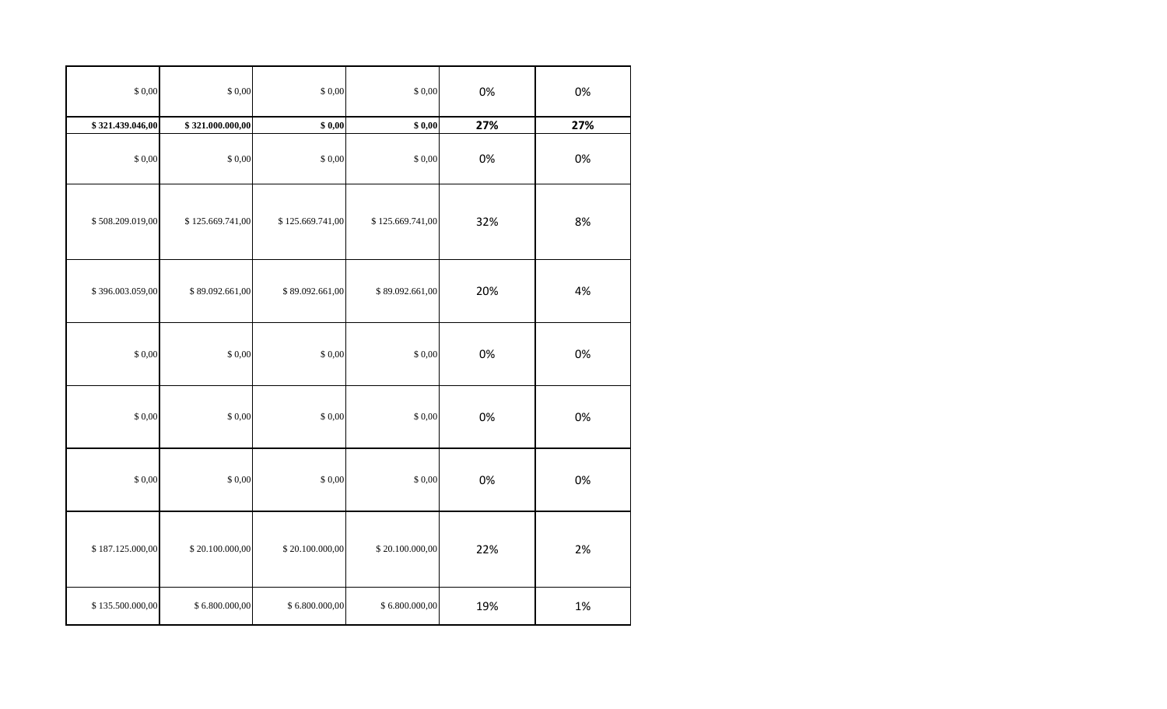| $\$$ 0,00        | \$0,00           | \$0,00           | \$0,00           | 0%  | 0%  |
|------------------|------------------|------------------|------------------|-----|-----|
| \$321.439.046,00 | \$321.000.000,00 | \$0,00           | \$0,00           | 27% | 27% |
| \$0,00           | \$0,00           | $\$$ 0,00        | \$0,00           | 0%  | 0%  |
| \$508.209.019,00 | \$125.669.741,00 | \$125.669.741,00 | \$125.669.741,00 | 32% | 8%  |
| \$396.003.059,00 | \$89.092.661,00  | \$89.092.661,00  | \$89.092.661,00  | 20% | 4%  |
| \$0,00           | \$0,00           | \$0,00           | \$0,00           | 0%  | 0%  |
| $\$$ 0,00        | \$0,00           | \$0,00           | \$0,00           | 0%  | 0%  |
| $\$$ 0,00        | \$0,00           | \$0,00           | \$0,00           | 0%  | 0%  |
| \$187.125.000,00 | \$20.100.000,00  | \$20.100.000,00  | \$20.100.000,00  | 22% | 2%  |
| \$135.500.000,00 | \$6.800.000,00   | \$6.800.000,00   | \$6.800.000,00   | 19% | 1%  |